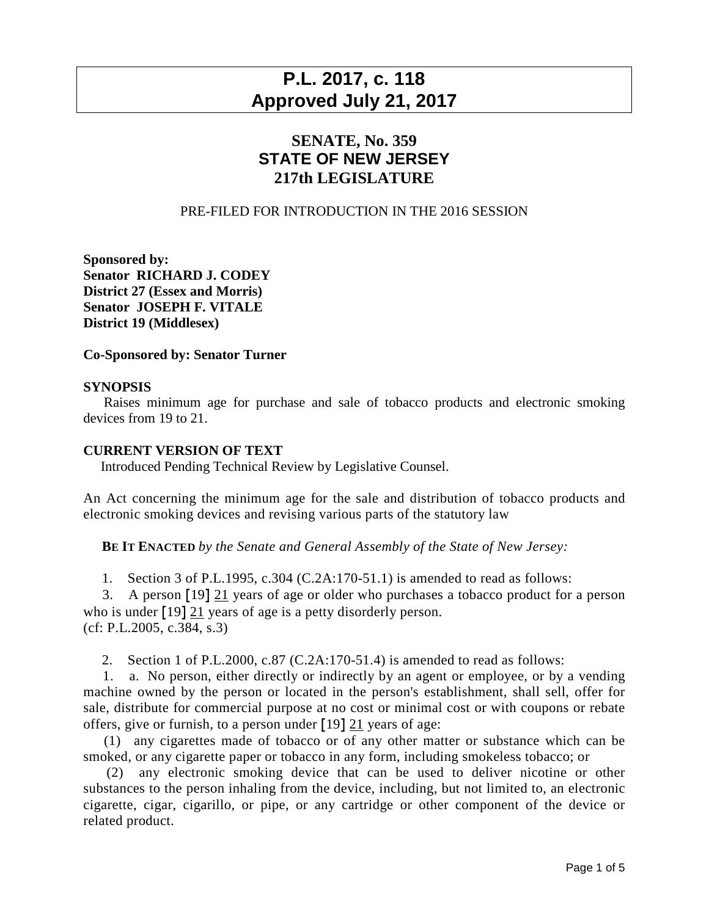# **P.L. 2017, c. 118 Approved July 21, 2017**

## **SENATE, No. 359 STATE OF NEW JERSEY 217th LEGISLATURE**

### PRE-FILED FOR INTRODUCTION IN THE 2016 SESSION

**Sponsored by: Senator RICHARD J. CODEY District 27 (Essex and Morris) Senator JOSEPH F. VITALE District 19 (Middlesex)**

#### **Co-Sponsored by: Senator Turner**

#### **SYNOPSIS**

 Raises minimum age for purchase and sale of tobacco products and electronic smoking devices from 19 to 21.

#### **CURRENT VERSION OF TEXT**

Introduced Pending Technical Review by Legislative Counsel.

An Act concerning the minimum age for the sale and distribution of tobacco products and electronic smoking devices and revising various parts of the statutory law

**BE IT ENACTED** *by the Senate and General Assembly of the State of New Jersey:*

1. Section 3 of P.L.1995, c.304 (C.2A:170-51.1) is amended to read as follows:

 3. A person **[**19**]** 21 years of age or older who purchases a tobacco product for a person who is under **[**19**]** 21 years of age is a petty disorderly person. (cf: P.L.2005, c.384, s.3)

2. Section 1 of P.L.2000, c.87 (C.2A:170-51.4) is amended to read as follows:

 1. a. No person, either directly or indirectly by an agent or employee, or by a vending machine owned by the person or located in the person's establishment, shall sell, offer for sale, distribute for commercial purpose at no cost or minimal cost or with coupons or rebate offers, give or furnish, to a person under **[**19**]** 21 years of age:

 (1) any cigarettes made of tobacco or of any other matter or substance which can be smoked, or any cigarette paper or tobacco in any form, including smokeless tobacco; or

 (2) any electronic smoking device that can be used to deliver nicotine or other substances to the person inhaling from the device, including, but not limited to, an electronic cigarette, cigar, cigarillo, or pipe, or any cartridge or other component of the device or related product.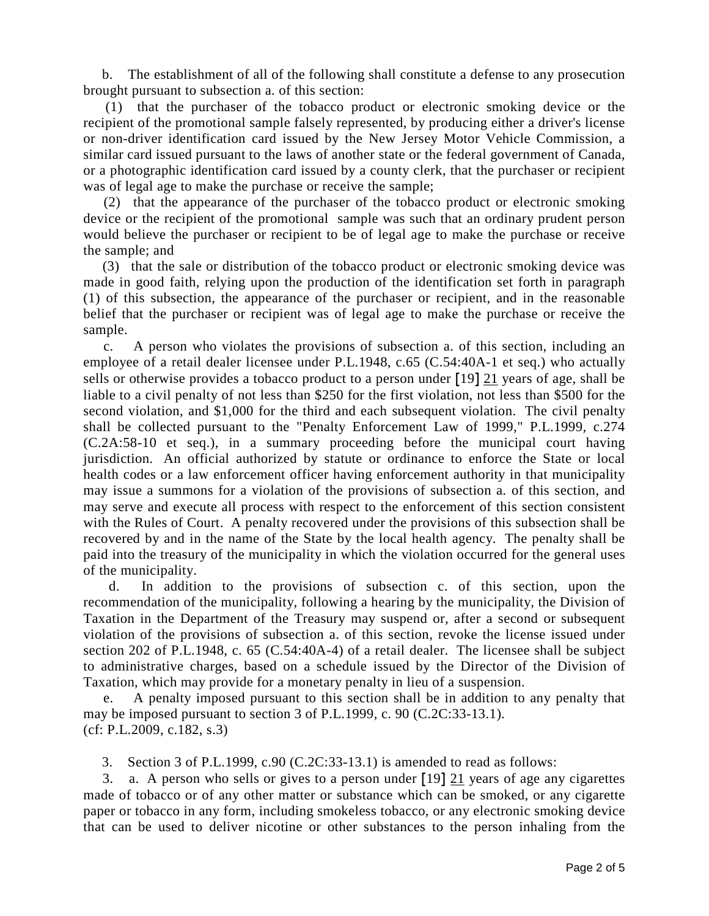b. The establishment of all of the following shall constitute a defense to any prosecution brought pursuant to subsection a. of this section:

 (1) that the purchaser of the tobacco product or electronic smoking device or the recipient of the promotional sample falsely represented, by producing either a driver's license or non-driver identification card issued by the New Jersey Motor Vehicle Commission, a similar card issued pursuant to the laws of another state or the federal government of Canada, or a photographic identification card issued by a county clerk, that the purchaser or recipient was of legal age to make the purchase or receive the sample;

 (2) that the appearance of the purchaser of the tobacco product or electronic smoking device or the recipient of the promotional sample was such that an ordinary prudent person would believe the purchaser or recipient to be of legal age to make the purchase or receive the sample; and

 (3) that the sale or distribution of the tobacco product or electronic smoking device was made in good faith, relying upon the production of the identification set forth in paragraph (1) of this subsection, the appearance of the purchaser or recipient, and in the reasonable belief that the purchaser or recipient was of legal age to make the purchase or receive the sample.

 c. A person who violates the provisions of subsection a. of this section, including an employee of a retail dealer licensee under P.L.1948, c.65 (C.54:40A-1 et seq.) who actually sells or otherwise provides a tobacco product to a person under **[**19**]** 21 years of age, shall be liable to a civil penalty of not less than \$250 for the first violation, not less than \$500 for the second violation, and \$1,000 for the third and each subsequent violation. The civil penalty shall be collected pursuant to the "Penalty Enforcement Law of 1999," P.L.1999, c.274 (C.2A:58-10 et seq.), in a summary proceeding before the municipal court having jurisdiction. An official authorized by statute or ordinance to enforce the State or local health codes or a law enforcement officer having enforcement authority in that municipality may issue a summons for a violation of the provisions of subsection a. of this section, and may serve and execute all process with respect to the enforcement of this section consistent with the Rules of Court. A penalty recovered under the provisions of this subsection shall be recovered by and in the name of the State by the local health agency. The penalty shall be paid into the treasury of the municipality in which the violation occurred for the general uses of the municipality.

 d. In addition to the provisions of subsection c. of this section, upon the recommendation of the municipality, following a hearing by the municipality, the Division of Taxation in the Department of the Treasury may suspend or, after a second or subsequent violation of the provisions of subsection a. of this section, revoke the license issued under section 202 of P.L.1948, c. 65 (C.54:40A-4) of a retail dealer. The licensee shall be subject to administrative charges, based on a schedule issued by the Director of the Division of Taxation, which may provide for a monetary penalty in lieu of a suspension.

 e. A penalty imposed pursuant to this section shall be in addition to any penalty that may be imposed pursuant to section 3 of P.L.1999, c. 90 (C.2C:33-13.1). (cf: P.L.2009, c.182, s.3)

3. Section 3 of P.L.1999, c.90 (C.2C:33-13.1) is amended to read as follows:

 3. a. A person who sells or gives to a person under **[**19**]** 21 years of age any cigarettes made of tobacco or of any other matter or substance which can be smoked, or any cigarette paper or tobacco in any form, including smokeless tobacco, or any electronic smoking device that can be used to deliver nicotine or other substances to the person inhaling from the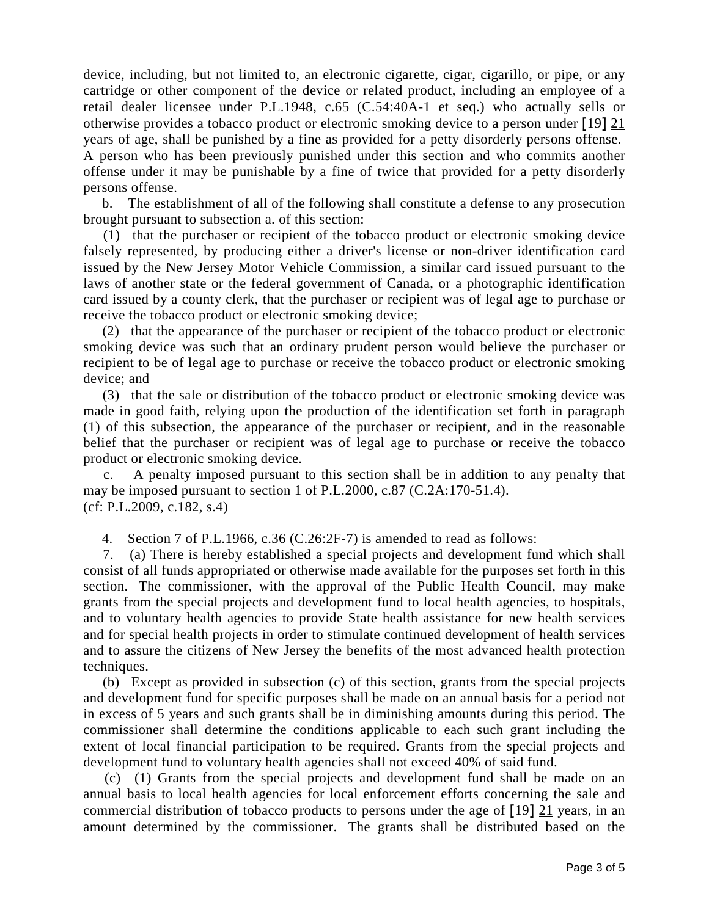device, including, but not limited to, an electronic cigarette, cigar, cigarillo, or pipe, or any cartridge or other component of the device or related product, including an employee of a retail dealer licensee under P.L.1948, c.65 (C.54:40A-1 et seq.) who actually sells or otherwise provides a tobacco product or electronic smoking device to a person under **[**19**]** 21 years of age, shall be punished by a fine as provided for a petty disorderly persons offense. A person who has been previously punished under this section and who commits another offense under it may be punishable by a fine of twice that provided for a petty disorderly persons offense.

 b. The establishment of all of the following shall constitute a defense to any prosecution brought pursuant to subsection a. of this section:

 (1) that the purchaser or recipient of the tobacco product or electronic smoking device falsely represented, by producing either a driver's license or non-driver identification card issued by the New Jersey Motor Vehicle Commission, a similar card issued pursuant to the laws of another state or the federal government of Canada, or a photographic identification card issued by a county clerk, that the purchaser or recipient was of legal age to purchase or receive the tobacco product or electronic smoking device;

 (2) that the appearance of the purchaser or recipient of the tobacco product or electronic smoking device was such that an ordinary prudent person would believe the purchaser or recipient to be of legal age to purchase or receive the tobacco product or electronic smoking device; and

 (3) that the sale or distribution of the tobacco product or electronic smoking device was made in good faith, relying upon the production of the identification set forth in paragraph (1) of this subsection, the appearance of the purchaser or recipient, and in the reasonable belief that the purchaser or recipient was of legal age to purchase or receive the tobacco product or electronic smoking device.

 c. A penalty imposed pursuant to this section shall be in addition to any penalty that may be imposed pursuant to section 1 of P.L.2000, c.87 (C.2A:170-51.4). (cf: P.L.2009, c.182, s.4)

4. Section 7 of P.L.1966, c.36 (C.26:2F-7) is amended to read as follows:

 7. (a) There is hereby established a special projects and development fund which shall consist of all funds appropriated or otherwise made available for the purposes set forth in this section. The commissioner, with the approval of the Public Health Council, may make grants from the special projects and development fund to local health agencies, to hospitals, and to voluntary health agencies to provide State health assistance for new health services and for special health projects in order to stimulate continued development of health services and to assure the citizens of New Jersey the benefits of the most advanced health protection techniques.

 (b) Except as provided in subsection (c) of this section, grants from the special projects and development fund for specific purposes shall be made on an annual basis for a period not in excess of 5 years and such grants shall be in diminishing amounts during this period. The commissioner shall determine the conditions applicable to each such grant including the extent of local financial participation to be required. Grants from the special projects and development fund to voluntary health agencies shall not exceed 40% of said fund.

 (c) (1) Grants from the special projects and development fund shall be made on an annual basis to local health agencies for local enforcement efforts concerning the sale and commercial distribution of tobacco products to persons under the age of **[**19**]** 21 years, in an amount determined by the commissioner. The grants shall be distributed based on the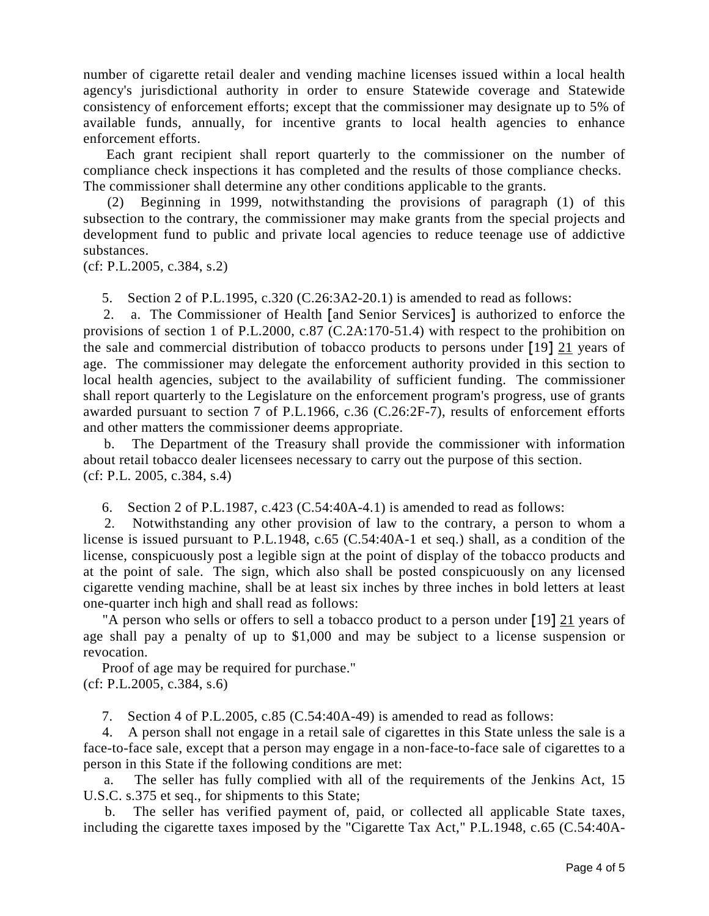number of cigarette retail dealer and vending machine licenses issued within a local health agency's jurisdictional authority in order to ensure Statewide coverage and Statewide consistency of enforcement efforts; except that the commissioner may designate up to 5% of available funds, annually, for incentive grants to local health agencies to enhance enforcement efforts.

 Each grant recipient shall report quarterly to the commissioner on the number of compliance check inspections it has completed and the results of those compliance checks. The commissioner shall determine any other conditions applicable to the grants.

 (2) Beginning in 1999, notwithstanding the provisions of paragraph (1) of this subsection to the contrary, the commissioner may make grants from the special projects and development fund to public and private local agencies to reduce teenage use of addictive substances.

(cf: P.L.2005, c.384, s.2)

5. Section 2 of P.L.1995, c.320 (C.26:3A2-20.1) is amended to read as follows:

 2. a. The Commissioner of Health **[**and Senior Services**]** is authorized to enforce the provisions of section 1 of P.L.2000, c.87 (C.2A:170-51.4) with respect to the prohibition on the sale and commercial distribution of tobacco products to persons under **[**19**]** 21 years of age. The commissioner may delegate the enforcement authority provided in this section to local health agencies, subject to the availability of sufficient funding. The commissioner shall report quarterly to the Legislature on the enforcement program's progress, use of grants awarded pursuant to section 7 of P.L.1966, c.36 (C.26:2F-7), results of enforcement efforts and other matters the commissioner deems appropriate.

 b. The Department of the Treasury shall provide the commissioner with information about retail tobacco dealer licensees necessary to carry out the purpose of this section. (cf: P.L. 2005, c.384, s.4)

6. Section 2 of P.L.1987, c.423 (C.54:40A-4.1) is amended to read as follows:

 2. Notwithstanding any other provision of law to the contrary, a person to whom a license is issued pursuant to P.L.1948, c.65 (C.54:40A-1 et seq.) shall, as a condition of the license, conspicuously post a legible sign at the point of display of the tobacco products and at the point of sale. The sign, which also shall be posted conspicuously on any licensed cigarette vending machine, shall be at least six inches by three inches in bold letters at least one-quarter inch high and shall read as follows:

 "A person who sells or offers to sell a tobacco product to a person under **[**19**]** 21 years of age shall pay a penalty of up to \$1,000 and may be subject to a license suspension or revocation.

 Proof of age may be required for purchase." (cf: P.L.2005, c.384, s.6)

7. Section 4 of P.L.2005, c.85 (C.54:40A-49) is amended to read as follows:

 4. A person shall not engage in a retail sale of cigarettes in this State unless the sale is a face-to-face sale, except that a person may engage in a non-face-to-face sale of cigarettes to a person in this State if the following conditions are met:

 a. The seller has fully complied with all of the requirements of the Jenkins Act, 15 U.S.C. s.375 et seq., for shipments to this State;

 b. The seller has verified payment of, paid, or collected all applicable State taxes, including the cigarette taxes imposed by the "Cigarette Tax Act," P.L.1948, c.65 (C.54:40A-